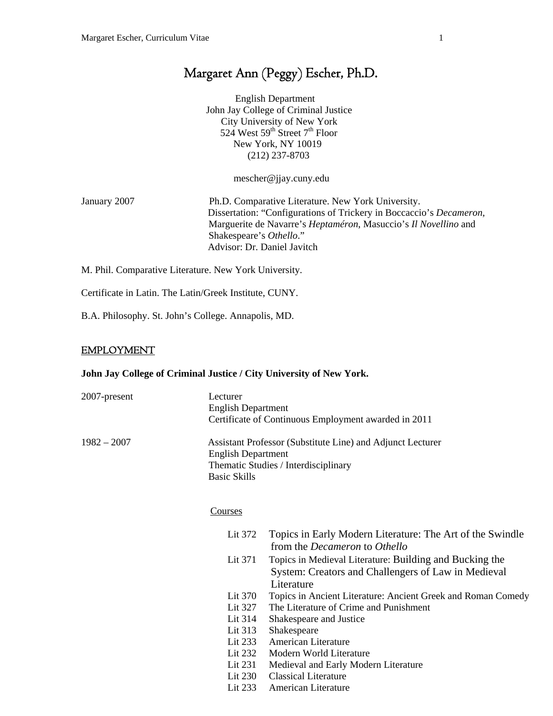# Margaret Ann (Peggy) Escher, Ph.D.

 English Department John Jay College of Criminal Justice City University of New York 524 West  $59<sup>th</sup>$  Street  $7<sup>th</sup>$  Floor New York, NY 10019 (212) 237-8703

mescher@jjay.cuny.edu

January 2007 Ph.D. Comparative Literature. New York University. Dissertation: "Configurations of Trickery in Boccaccio's *Decameron,* Marguerite de Navarre's *Heptaméron*, Masuccio's *Il Novellino* and Shakespeare's *Othello*." Advisor: Dr. Daniel Javitch

M. Phil. Comparative Literature. New York University.

Certificate in Latin. The Latin/Greek Institute, CUNY.

B.A. Philosophy. St. John's College. Annapolis, MD.

#### EMPLOYMENT

#### **John Jay College of Criminal Justice / City University of New York.**

| 2007-present  | Lecturer<br><b>English Department</b>            | Certificate of Continuous Employment awarded in 2011                                                                         |
|---------------|--------------------------------------------------|------------------------------------------------------------------------------------------------------------------------------|
| $1982 - 2007$ | <b>English Department</b><br><b>Basic Skills</b> | Assistant Professor (Substitute Line) and Adjunct Lecturer<br>Thematic Studies / Interdisciplinary                           |
|               | <u>Courses</u>                                   |                                                                                                                              |
|               | Lit 372                                          | Topics in Early Modern Literature: The Art of the Swindle<br>from the <i>Decameron</i> to <i>Othello</i>                     |
|               | Lit 371                                          | Topics in Medieval Literature: Building and Bucking the<br>System: Creators and Challengers of Law in Medieval<br>Literature |
|               | Lit 370                                          | Topics in Ancient Literature: Ancient Greek and Roman Comedy                                                                 |
|               | Lit 327                                          | The Literature of Crime and Punishment                                                                                       |
|               | Lit 314                                          | Shakespeare and Justice                                                                                                      |
|               | Lit 313                                          | Shakespeare                                                                                                                  |
|               | Lit 233                                          | American Literature                                                                                                          |
|               | Lit 232                                          | Modern World Literature                                                                                                      |
|               | Lit $231$                                        | Medieval and Early Modern Literature                                                                                         |
|               |                                                  | $\mathbf{1}$ $\mathbf{1}$ $\mathbf{1}$                                                                                       |

- Lit 230 Classical Literature
- Lit 233 American Literature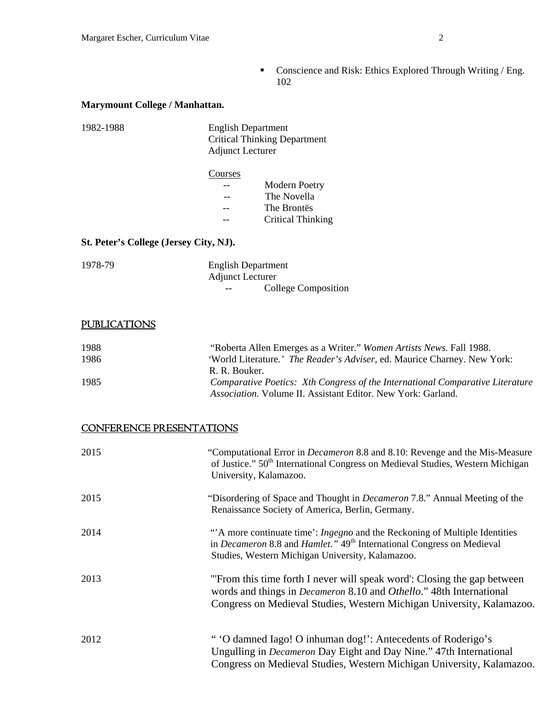**•** Conscience and Risk: Ethics Explored Through Writing / Eng. 102

# **Marymount College / Manhattan.**

| 1982-1988 | <b>English Department</b>           |
|-----------|-------------------------------------|
|           | <b>Critical Thinking Department</b> |
|           | <b>Adjunct Lecturer</b>             |

### **Courses**  -- Modern Poetry -- The Novella -- The Brontës -- Critical Thinking

### **St. Peter's College (Jersey City, NJ).**

| 1978-79 | <b>English Department</b>    |
|---------|------------------------------|
|         | <b>Adjunct Lecturer</b>      |
|         | College Composition<br>$- -$ |

# **PUBLICATIONS**

| 1988 | "Roberta Allen Emerges as a Writer." Women Artists News. Fall 1988.           |
|------|-------------------------------------------------------------------------------|
| 1986 | 'World Literature.' The Reader's Adviser, ed. Maurice Charney. New York:      |
|      | R. R. Bouker.                                                                 |
| 1985 | Comparative Poetics: Xth Congress of the International Comparative Literature |
|      | <i>Association.</i> Volume II. Assistant Editor. New York: Garland.           |

# CONFERENCE PRESENTATIONS

| 2015 | "Computational Error in <i>Decameron</i> 8.8 and 8.10: Revenge and the Mis-Measure<br>of Justice." 50 <sup>th</sup> International Congress on Medieval Studies, Western Michigan<br>University, Kalamazoo.                                |
|------|-------------------------------------------------------------------------------------------------------------------------------------------------------------------------------------------------------------------------------------------|
| 2015 | "Disordering of Space and Thought in <i>Decameron</i> 7.8." Annual Meeting of the<br>Renaissance Society of America, Berlin, Germany.                                                                                                     |
| 2014 | "A more continuate time": <i>Ingegno</i> and the Reckoning of Multiple Identities<br>in <i>Decameron</i> 8.8 and <i>Hamlet</i> ." 49 <sup>th</sup> International Congress on Medieval<br>Studies, Western Michigan University, Kalamazoo. |
| 2013 | "From this time forth I never will speak word": Closing the gap between<br>words and things in <i>Decameron</i> 8.10 and <i>Othello</i> ." 48th International<br>Congress on Medieval Studies, Western Michigan University, Kalamazoo.    |
| 2012 | " 'O damned Iago! O inhuman dog!': Antecedents of Roderigo's<br>Ungulling in <i>Decameron</i> Day Eight and Day Nine." 47th International<br>Congress on Medieval Studies, Western Michigan University, Kalamazoo.                        |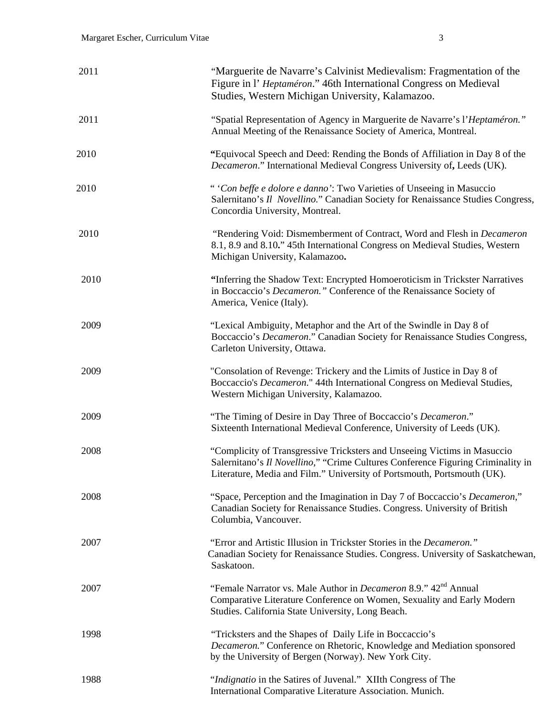| 2011 | "Marguerite de Navarre's Calvinist Medievalism: Fragmentation of the<br>Figure in l' Heptaméron." 46th International Congress on Medieval<br>Studies, Western Michigan University, Kalamazoo.                                          |
|------|----------------------------------------------------------------------------------------------------------------------------------------------------------------------------------------------------------------------------------------|
| 2011 | "Spatial Representation of Agency in Marguerite de Navarre's l'Heptaméron."<br>Annual Meeting of the Renaissance Society of America, Montreal.                                                                                         |
| 2010 | "Equivocal Speech and Deed: Rending the Bonds of Affiliation in Day 8 of the<br>Decameron." International Medieval Congress University of, Leeds (UK).                                                                                 |
| 2010 | "Con beffe e dolore e danno': Two Varieties of Unseeing in Masuccio<br>Salernitano's Il Novellino." Canadian Society for Renaissance Studies Congress,<br>Concordia University, Montreal.                                              |
| 2010 | "Rendering Void: Dismemberment of Contract, Word and Flesh in Decameron<br>8.1, 8.9 and 8.10." 45th International Congress on Medieval Studies, Western<br>Michigan University, Kalamazoo.                                             |
| 2010 | "Inferring the Shadow Text: Encrypted Homoeroticism in Trickster Narratives<br>in Boccaccio's <i>Decameron</i> ." Conference of the Renaissance Society of<br>America, Venice (Italy).                                                 |
| 2009 | "Lexical Ambiguity, Metaphor and the Art of the Swindle in Day 8 of<br>Boccaccio's <i>Decameron</i> ." Canadian Society for Renaissance Studies Congress,<br>Carleton University, Ottawa.                                              |
| 2009 | "Consolation of Revenge: Trickery and the Limits of Justice in Day 8 of<br>Boccaccio's Decameron." 44th International Congress on Medieval Studies,<br>Western Michigan University, Kalamazoo.                                         |
| 2009 | "The Timing of Desire in Day Three of Boccaccio's Decameron."<br>Sixteenth International Medieval Conference, University of Leeds (UK).                                                                                                |
| 2008 | "Complicity of Transgressive Tricksters and Unseeing Victims in Masuccio<br>Salernitano's Il Novellino," "Crime Cultures Conference Figuring Criminality in<br>Literature, Media and Film." University of Portsmouth, Portsmouth (UK). |
| 2008 | "Space, Perception and the Imagination in Day 7 of Boccaccio's <i>Decameron</i> ,"<br>Canadian Society for Renaissance Studies. Congress. University of British<br>Columbia, Vancouver.                                                |
| 2007 | "Error and Artistic Illusion in Trickster Stories in the Decameron."<br>Canadian Society for Renaissance Studies. Congress. University of Saskatchewan,<br>Saskatoon.                                                                  |
| 2007 | "Female Narrator vs. Male Author in <i>Decameron</i> 8.9." 42 <sup>nd</sup> Annual<br>Comparative Literature Conference on Women, Sexuality and Early Modern<br>Studies. California State University, Long Beach.                      |
| 1998 | "Tricksters and the Shapes of Daily Life in Boccaccio's<br>Decameron." Conference on Rhetoric, Knowledge and Mediation sponsored<br>by the University of Bergen (Norway). New York City.                                               |
| 1988 | "Indignatio in the Satires of Juvenal." XIIth Congress of The<br>International Comparative Literature Association. Munich.                                                                                                             |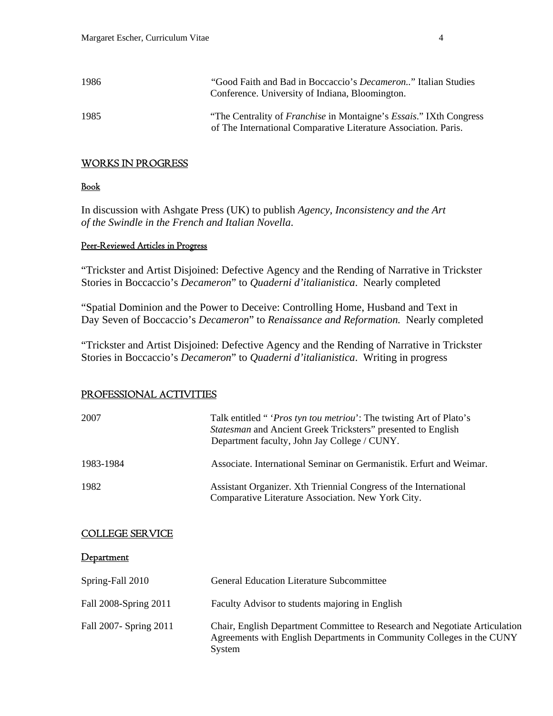| 1986 | "Good Faith and Bad in Boccaccio's <i>Decameron</i> " Italian Studies<br>Conference. University of Indiana, Bloomington.                             |
|------|------------------------------------------------------------------------------------------------------------------------------------------------------|
| 1985 | "The Centrality of <i>Franchise</i> in Montaigne's <i>Essais</i> ." IXth Congress<br>of The International Comparative Literature Association. Paris. |

# WORKS IN PROGRESS

### Book

In discussion with Ashgate Press (UK) to publish *Agency, Inconsistency and the Art of the Swindle in the French and Italian Novella*.

# Peer-Reviewed Articles in Progress

"Trickster and Artist Disjoined: Defective Agency and the Rending of Narrative in Trickster Stories in Boccaccio's *Decameron*" to *Quaderni d'italianistica*. Nearly completed

"Spatial Dominion and the Power to Deceive: Controlling Home, Husband and Text in Day Seven of Boccaccio's *Decameron*" to *Renaissance and Reformation.* Nearly completed

"Trickster and Artist Disjoined: Defective Agency and the Rending of Narrative in Trickster Stories in Boccaccio's *Decameron*" to *Quaderni d'italianistica*. Writing in progress

# PROFESSIONAL ACTIVITIES

| 2007                   | Talk entitled " <i>Pros tyn tou metriou</i> ': The twisting Art of Plato's<br>Statesman and Ancient Greek Tricksters" presented to English<br>Department faculty, John Jay College / CUNY. |
|------------------------|--------------------------------------------------------------------------------------------------------------------------------------------------------------------------------------------|
| 1983-1984              | Associate. International Seminar on Germanistik. Erfurt and Weimar.                                                                                                                        |
| 1982                   | Assistant Organizer. Xth Triennial Congress of the International<br>Comparative Literature Association. New York City.                                                                     |
| <b>COLLEGE SERVICE</b> |                                                                                                                                                                                            |
| Department             |                                                                                                                                                                                            |
| Spring-Fall 2010       | <b>General Education Literature Subcommittee</b>                                                                                                                                           |
| Fall 2008-Spring 2011  | Faculty Advisor to students majoring in English                                                                                                                                            |
| Fall 2007- Spring 2011 | Chair, English Department Committee to Research and Negotiate Articulation<br>Agreements with English Departments in Community Colleges in the CUNY<br>System                              |